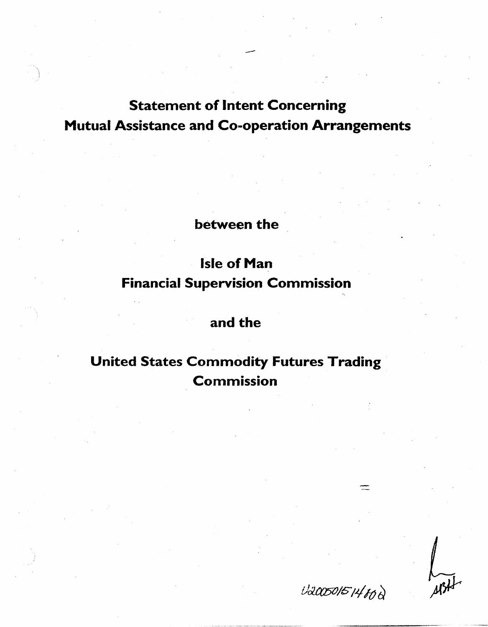## Statement of Intent Concerning Mutual Assistance and Co-operation Arrangements

--

between the

## Isle of Man Financial Supervision Commission

### and the

## United States Commodity Futures Trading Commission

U20050151480Q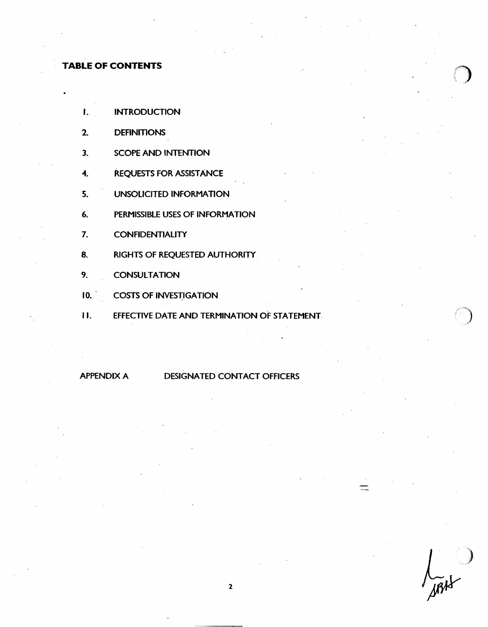# **TABLE OF CONTENTS** /)

•

- I. **INTRODUCTION**
- 2. DEFINITIONS
- 3. SCOPE AND INTENTION
- 4. REQUESTS FOR ASSISTANCE
- 5. UNSOLICITED INFORMATION
- 6. PERMISSIBLE USES OF INFORMATION
- 7. CONFIDENTIALITY
- 8. RIGHTS OF REQUESTED AUTHORITY
- 9. CONSULTATION
- 10. COSTS OF INVESTIGATION
- II. EFFECTIVE DATE AND TERMINATION OF STATEMENT.

APPENDIX A DESIGNATED CONTACT OFFICERS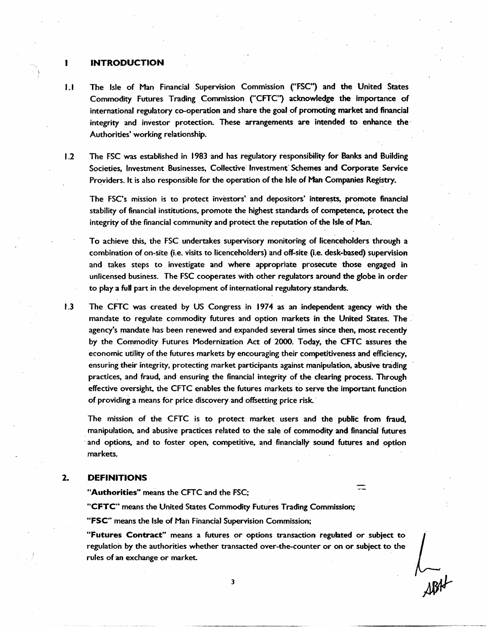#### INTRODUCTION

- I .I The Isle of Man Financial Supervision Commission ("FSC") and the United States Commodity Futures Trading Commission ("CFTC") acknowledge the importance of international regulatory co-operation and share the goal of promoting market and financial integrity and investor protection. These arrangements are intended to enhance the · Authorities' working relationship.
- 1.2 The FSC was established in 1983 and has regulatory responsibility for Banks and Building Societies, Investment Businesses, Collective Investment Schemes and Corporate Service Providers. It is also responsible for the operation of the Isle of Man Companies Registry.

The FSC's mission is to protect investors' and depositors' interests, promote financial stability of financial institutions, promote the highest standards of competence, protect the integrity of the financial community and protect the reputation of the Isle of Man.

To achieve this, the FSC undertakes supervisory monitoring of licenceholders through a combination of on-site (i.e. visits to licenceholders) and off-site (i.e. desk-based) supervision and takes steps to investigate and where appropriate prosecute those engaged in unlicensed business. The FSC cooperates with other regulators around the globe in order to play a full part in the development of international regulatory standards.

1.3 The CFTC was created by US Congress in 1974 as an independent agency with the mandate to regulate commodity futures and option markets in the United States. The . · agency's mandate has been renewed and expanded several times since then, most recently by the Commodity Futures Modernization Act of 2000. Today, the CFTC assures the economic utility of the futures markets by encouraging their competitiveness and efficiency, ensuring their integrity, protecting market participants against manipulation, abusive trading practices, and fraud, and ensuring the financial integrity of the clearing process. Through effective oversight, the CFTC enables the futures markets to serve the important function of providing a means for price discovery.and offsetting price risk.·

The mission of the CFTC is to protect market users and the public from fraud, manipulation, and abusive practices related to the sale of commodity and financial futures and options, and to foster open, competitive, and financially sound futures and option markets.

#### 2. DEFINITIONS

"Authorities" means the CFTC and the FSC;

"CFTC"' means the United States Commodity Futures Trading Commission;

"FSC'" means the Isle of Man Financial Supervision Commission;

"Futures Contract" means a futures or options transaction regulated or subject to regulation by the authorities whether transacted over-the-counter or on or subject to the rules of an exchange or market.

 $\frac{1}{\sqrt{2}}$  $\frac{1}{\sqrt{3}}$ 

3

ŧ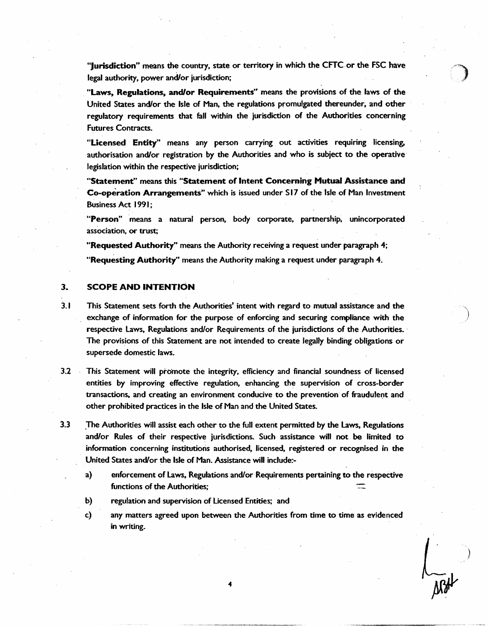"Jurisdiction" means the country, state or territory in which the CFTC.or the FSC have legal authority, power and/or jurisdiction;

"Laws, Regulations, and/or Requirements" means the provisions of the laws of the United States and/or the Isle of Man, the regulations promulgated thereunder, and other regulatory requirements that fall within the jurisdiction of the Authorities concerning Futures Contracts.

"Licensed Entity" means any person carrying out activities requiring licensing, authorisation and/or registration by the Authorities and who is subject to the operative· legislation within the respective jurisdiction;

"Statement" means this "Statement of Intent Concerning Mutual Assistance and Co-operation Arrangements" which is issued under S17 of the Isle of Man Investment Business Act 1991;

"Person" means a natural person, body corporate, partnership, unincorporated association, or trust;

••Requested Authority" means the Authority receiving a request under paragraph *4;*  "Requesting Authority" means the Authority making a request under paragraph 4.

#### 3. SCOPE AND INTENTION

- 3.1 This Statement sets forth the Authorities' intent with regard to mutual assistance and the exchange of information for the purpose. of enforcing and securing compliance with the respective laws, Regulations and/or Requirements of the jurisdictions of the Authorities. · The provisions of this Statement are not intended to create legally binding obligations or supersede domestic laws.
- 3.2 This Statement will promote the integrity, efficiency and financial soundness of licensed entities by improving effective regulation, enhancing the supervision of cross-border transactions, and creating an environment conducive to the prevention of fraudulent and other prohibited practices in the Isle of Man and the United States.
- 3.3 .The Authorities will assist each other to the full extent permitted by the laws, Regulations and/or Rules of their respective jurisdictions. Such assistance will not be limited to information concerning institutions authorised. licensed. registered or recognised in the United States and/or the Isle of Man. Assistance will indude:
	- a) enforcement of Laws. Regulations and/or Requirements pertaining to the respective functions of the Authorities;
	- b) regulation and supervision of Licensed Entities; and
	- c) any matters agreed upon between the Authorities from time to time as evidenced in writing.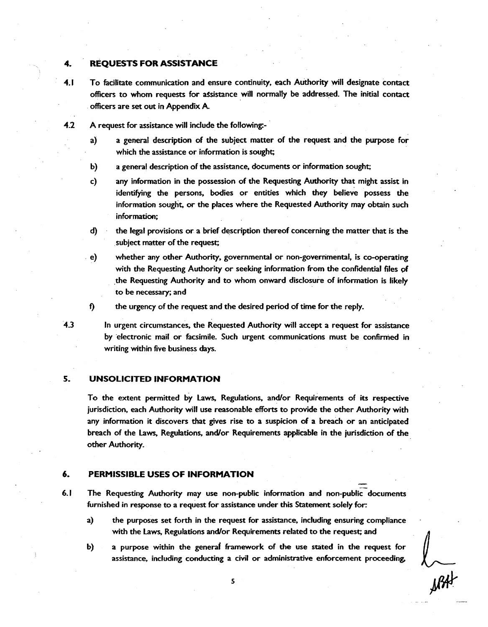#### 4.. REQUESTS FOR ASSISTANCE

- 4.1 To facilitate communication and ensure continuity, each Authority will designate contact officers to whom requests for assistance will normally be addressed. The initial contact officers are set out in Appendix A
- 4.2 A request for assistance will include the following:
	- a) a general description of the subject matter of the request and the purpose for which the assistance or information is sought;
	- b) a general description of the assistance, documents or information sought;
	- c) any information in the possession of the Requesting Authority that might assist in identifying the persons. bodies or entities which they believe possess the information sought, or the places where the Requested Authority may obtain such information;
	- d) the legal provisions or a brief description thereof concerning the matter that is the subject matter of the request;

. e) whether any other Authority. governmental or non-governmental, is co-operating with the Requesting Authority or seeking information from the confidential files of the Requesting Authority and to whom onward disclosure of information is likely to be necessary; and

f) the urgency of the request and the desired period of time for the reply.

·4.3 In urgent circumstances. the Requested Authority will accept a request for assistance by ·electronic mail or facsimile. Such urgent communications must be confirmed in writing within five business days.

#### S. UNSOLICITED INFORMATION

To the extent permitted by Laws, Regulations, and/or Requirements of its respective jurisdiction, each Authority will use reasonable efforts to provide the other Authority with any information it discovers that gives rise to a suspicion of a breach or an anticipated breach of the Laws, Regulations. and/or Requirements applicable in the jurisdiction of the other Authority.

#### 6. PERMISSIBLE USES OF INFORMATION

- 6.1 The Requesting Authority may use non-public information and non-public documents furnished in response to a request for assistance under this Statement solely for:
	- a) the purposes set forth in the request for assistance. including ensuring compliance with the Laws. Regulations and/or Requirements related to the request; and
	- b) a purpose within the generaf framework of the use stated in the request for assistance, including conducting a civil or administrative enforcement proceeding.

 $\mathcal{Y}^{\mathcal{U}^{\mathcal{U}}}$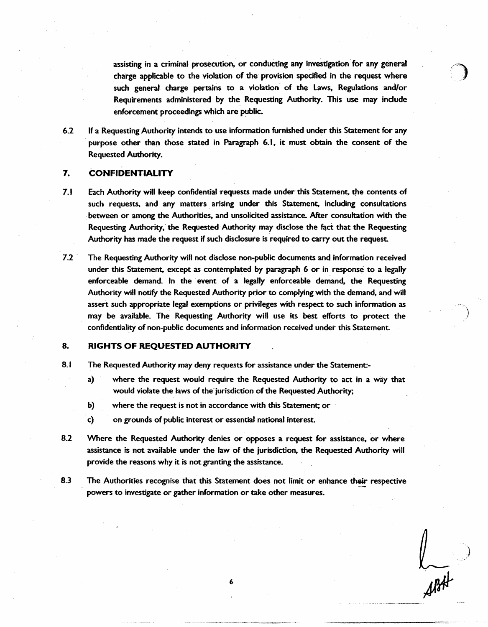assisting in a criminal prosecution, or conducting any investigation for any general charge applicable to the violation of the provision specified in the request where such general charge pertains to a violation of the Laws. Regulations and/or Requirements administered by the Requesting Authority. This use may include enforcement proceedings which are public.

6.2 If a Requesting Authority intends to use information furnished under this Statement for any purpose other than those stated in Paragraph 6.1, it must obtain the consent of the Requested Authority.

#### 7. CONFIDENTIALITY

- 7.1 Each Authority will keep confidential requests made under this Statement, the contents of such requests, and any matters arising under this Statement, including consultations between or among the Authorities, and unsolicited assistance. After consultation with the Requesting Authority, the Requested Authority may disclose the fact that the Requesting Authority has made the request if such disclosure is required to carry out the request.
- 7.2 The Requesting Authority will not disclose non-public documents and information received under this Statement, except as contemplated by paragraph. 6 or in response to a legally enforceable demand. In the event of a legally enforceable demand, the Requesting Authority will notify the Requested Authority prior to complying with the demand, and will assert such appropriate legal exemptions or privileges with respect to such information as may be available. The Requesting Authority will use its best efforts to protect the confidentiality of non-public documents and information received under this Statement.

#### 8. RIGHTS OF REQUESTED AUTHORITY

- 8.1 The Requested Authority may deny requests for assistance under the Statement
	- a) where the request would require the Requested Authority to act in a way that would violate the laws of the jurisdiction of the Requested Authority;
	- b) where the request is not in accordance with this Statement; or
	- . c) on grounds of public interest or essential national interest.
- 8.2 Where the Requested Authority denies or opposes a request for assistance, or where assistance is not available under the law of the jurisdiction. the Requested Authority will provide the reasons why it is not granting the assistance.
- 8.3 The Authorities recognise that this Statement does not limit or enhance their respective powers to investigate or gather information or take other measures.

6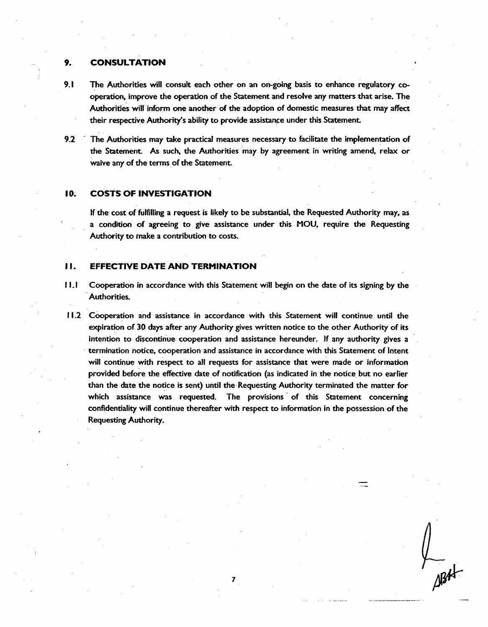#### 9. CONSULTATION

- 9.1 The Authorities will consult each other on an on-going basis to enhance regulatory cooperation, improve the operation of the Statement and resolve any matters that arise. The Authorities will" inform one another· of the adoption of domestic measures that may affect their respective Authority's ability to provide assistance under this Statement.
- 9.2 · The Authorities may take practical measures necessary to facilitate the implementation of the Statement. As such, the Authorities may by agreement in writing amend, relax or waive any of the terms of the Statement.

#### 10. COSTS OF INVESTIGATION

If the cost of fulfilling a request is likely to be substantial, the Requested Authority may, as a conaltion of agreeing to give assistance under this MOU, require the Requesting Authority to make a contribution to costs.

#### II. EFFECTIVE DATE AND TERMINATION

- 11.1 Cooperation in accordance with this Statement will begin on the date of its signing by the Authorities.
- 11.2 Cooperation and assistance in accordance with this Statement will continue until the expiration of 30 days after any Authority gives written notice to the other Authority of its intention to discontinue cooperation and assistance hereunder. If any authority gives a · termination notice, cooperation and assistance in accordance with this Statement of Intent will continue with respect to all requests for assistance that were made or information provided before the effective date of notification (as indicated in the notice but no earlier than the date the notice is sent) until the Requesting Authority terminated the matter for which assistance was requested. The provisions of this Statement concerning confidentiality will continue thereafter with respect to information in the possession of the Requesting Authority.

7

 $\frac{1}{\sqrt{3}}$ 

≂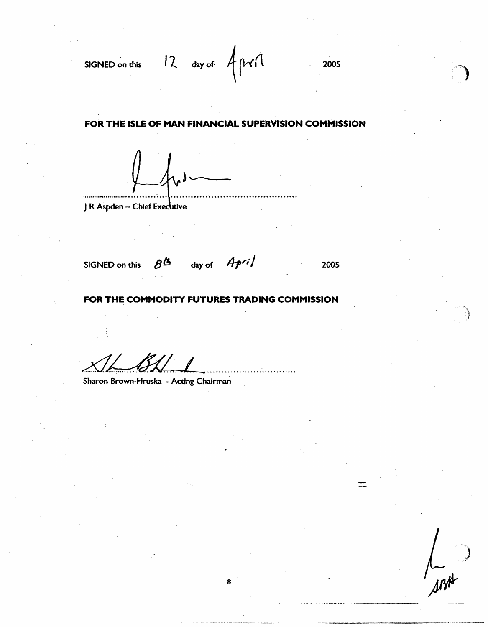SIGNED on this  $12$  day of  $\text{cm}(l)$  2005

#### FOR THE ISLE OF MAN FINANCIAL SUPERVISION COMMISSION

 $j$ 

J R Aspden - Chief Executive

SIGNED on this  $8^{\underline{\text{A}}}$ 

day of *April* 2005

#### FOR THE COMMODITY FUTURES TRADING COMMISSION

8

Sharon Brown-Hruska - Acting Chairman

-)